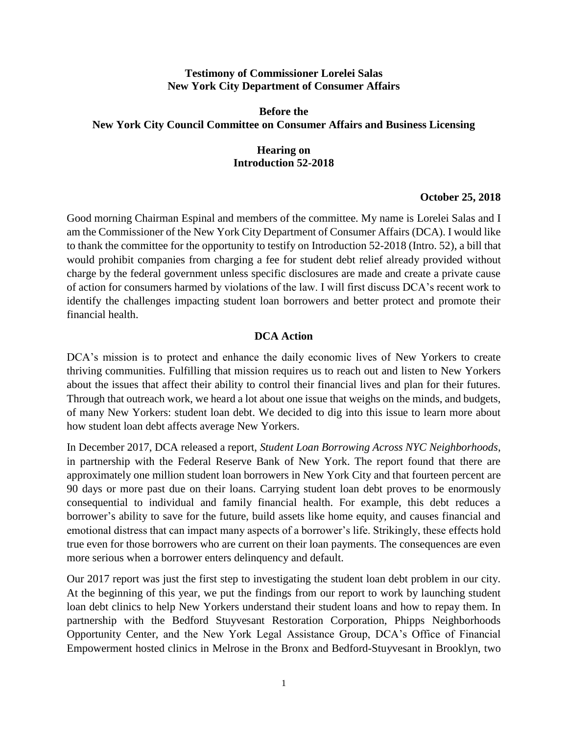### **Testimony of Commissioner Lorelei Salas New York City Department of Consumer Affairs**

# **Before the New York City Council Committee on Consumer Affairs and Business Licensing**

## **Hearing on Introduction 52-2018**

### **October 25, 2018**

Good morning Chairman Espinal and members of the committee. My name is Lorelei Salas and I am the Commissioner of the New York City Department of Consumer Affairs (DCA). I would like to thank the committee for the opportunity to testify on Introduction 52-2018 (Intro. 52), a bill that would prohibit companies from charging a fee for student debt relief already provided without charge by the federal government unless specific disclosures are made and create a private cause of action for consumers harmed by violations of the law. I will first discuss DCA's recent work to identify the challenges impacting student loan borrowers and better protect and promote their financial health.

## **DCA Action**

DCA's mission is to protect and enhance the daily economic lives of New Yorkers to create thriving communities. Fulfilling that mission requires us to reach out and listen to New Yorkers about the issues that affect their ability to control their financial lives and plan for their futures. Through that outreach work, we heard a lot about one issue that weighs on the minds, and budgets, of many New Yorkers: student loan debt. We decided to dig into this issue to learn more about how student loan debt affects average New Yorkers.

In December 2017, DCA released a report, *Student Loan Borrowing Across NYC Neighborhoods*, in partnership with the Federal Reserve Bank of New York. The report found that there are approximately one million student loan borrowers in New York City and that fourteen percent are 90 days or more past due on their loans. Carrying student loan debt proves to be enormously consequential to individual and family financial health. For example, this debt reduces a borrower's ability to save for the future, build assets like home equity, and causes financial and emotional distress that can impact many aspects of a borrower's life. Strikingly, these effects hold true even for those borrowers who are current on their loan payments. The consequences are even more serious when a borrower enters delinquency and default.

Our 2017 report was just the first step to investigating the student loan debt problem in our city. At the beginning of this year, we put the findings from our report to work by launching student loan debt clinics to help New Yorkers understand their student loans and how to repay them. In partnership with the Bedford Stuyvesant Restoration Corporation, Phipps Neighborhoods Opportunity Center, and the New York Legal Assistance Group, DCA's Office of Financial Empowerment hosted clinics in Melrose in the Bronx and Bedford-Stuyvesant in Brooklyn, two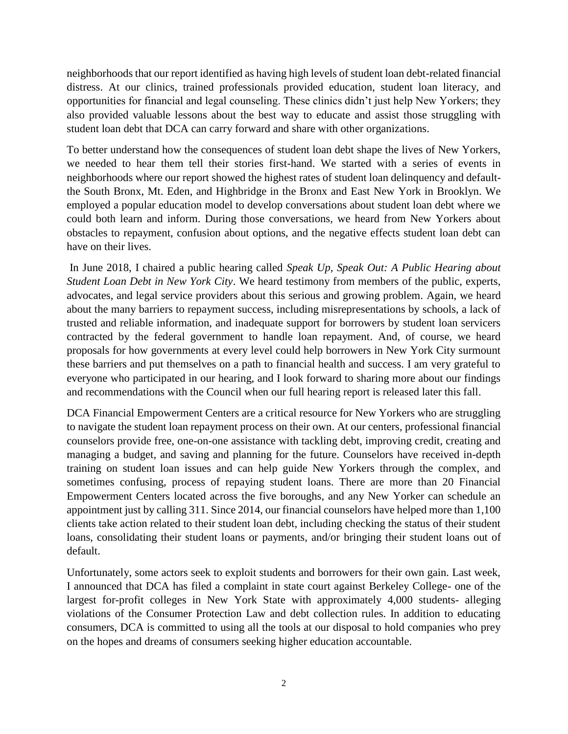neighborhoods that our report identified as having high levels of student loan debt-related financial distress. At our clinics, trained professionals provided education, student loan literacy, and opportunities for financial and legal counseling. These clinics didn't just help New Yorkers; they also provided valuable lessons about the best way to educate and assist those struggling with student loan debt that DCA can carry forward and share with other organizations.

To better understand how the consequences of student loan debt shape the lives of New Yorkers, we needed to hear them tell their stories first-hand. We started with a series of events in neighborhoods where our report showed the highest rates of student loan delinquency and defaultthe South Bronx, Mt. Eden, and Highbridge in the Bronx and East New York in Brooklyn. We employed a popular education model to develop conversations about student loan debt where we could both learn and inform. During those conversations, we heard from New Yorkers about obstacles to repayment, confusion about options, and the negative effects student loan debt can have on their lives.

In June 2018, I chaired a public hearing called *Speak Up, Speak Out: A Public Hearing about Student Loan Debt in New York City*. We heard testimony from members of the public, experts, advocates, and legal service providers about this serious and growing problem. Again, we heard about the many barriers to repayment success, including misrepresentations by schools, a lack of trusted and reliable information, and inadequate support for borrowers by student loan servicers contracted by the federal government to handle loan repayment. And, of course, we heard proposals for how governments at every level could help borrowers in New York City surmount these barriers and put themselves on a path to financial health and success. I am very grateful to everyone who participated in our hearing, and I look forward to sharing more about our findings and recommendations with the Council when our full hearing report is released later this fall.

DCA Financial Empowerment Centers are a critical resource for New Yorkers who are struggling to navigate the student loan repayment process on their own. At our centers, professional financial counselors provide free, one-on-one assistance with tackling debt, improving credit, creating and managing a budget, and saving and planning for the future. Counselors have received in-depth training on student loan issues and can help guide New Yorkers through the complex, and sometimes confusing, process of repaying student loans. There are more than 20 Financial Empowerment Centers located across the five boroughs, and any New Yorker can schedule an appointment just by calling 311. Since 2014, our financial counselors have helped more than 1,100 clients take action related to their student loan debt, including checking the status of their student loans, consolidating their student loans or payments, and/or bringing their student loans out of default.

Unfortunately, some actors seek to exploit students and borrowers for their own gain. Last week, I announced that DCA has filed a complaint in state court against Berkeley College- one of the largest for-profit colleges in New York State with approximately 4,000 students- alleging violations of the Consumer Protection Law and debt collection rules. In addition to educating consumers, DCA is committed to using all the tools at our disposal to hold companies who prey on the hopes and dreams of consumers seeking higher education accountable.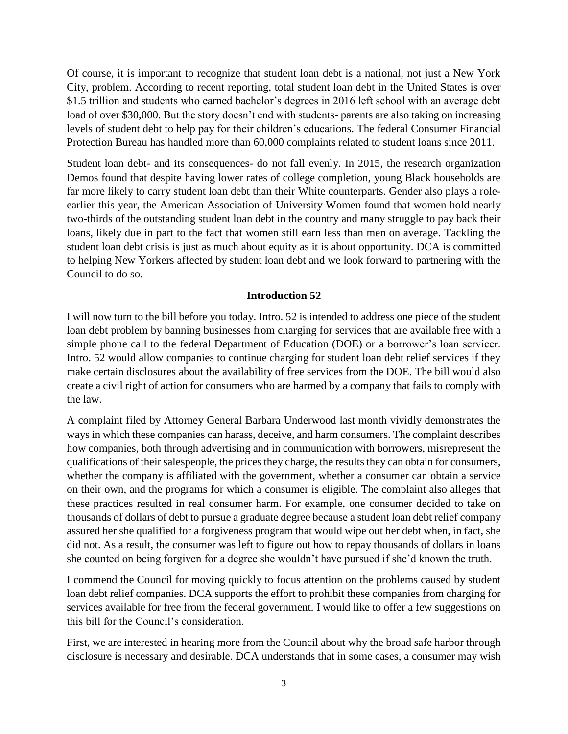Of course, it is important to recognize that student loan debt is a national, not just a New York City, problem. According to recent reporting, total student loan debt in the United States is over \$1.5 trillion and students who earned bachelor's degrees in 2016 left school with an average debt load of over \$30,000. But the story doesn't end with students- parents are also taking on increasing levels of student debt to help pay for their children's educations. The federal Consumer Financial Protection Bureau has handled more than 60,000 complaints related to student loans since 2011.

Student loan debt- and its consequences- do not fall evenly. In 2015, the research organization Demos found that despite having lower rates of college completion, young Black households are far more likely to carry student loan debt than their White counterparts. Gender also plays a roleearlier this year, the American Association of University Women found that women hold nearly two-thirds of the outstanding student loan debt in the country and many struggle to pay back their loans, likely due in part to the fact that women still earn less than men on average. Tackling the student loan debt crisis is just as much about equity as it is about opportunity. DCA is committed to helping New Yorkers affected by student loan debt and we look forward to partnering with the Council to do so.

## **Introduction 52**

I will now turn to the bill before you today. Intro. 52 is intended to address one piece of the student loan debt problem by banning businesses from charging for services that are available free with a simple phone call to the federal Department of Education (DOE) or a borrower's loan servicer. Intro. 52 would allow companies to continue charging for student loan debt relief services if they make certain disclosures about the availability of free services from the DOE. The bill would also create a civil right of action for consumers who are harmed by a company that fails to comply with the law.

A complaint filed by Attorney General Barbara Underwood last month vividly demonstrates the ways in which these companies can harass, deceive, and harm consumers. The complaint describes how companies, both through advertising and in communication with borrowers, misrepresent the qualifications of their salespeople, the prices they charge, the results they can obtain for consumers, whether the company is affiliated with the government, whether a consumer can obtain a service on their own, and the programs for which a consumer is eligible. The complaint also alleges that these practices resulted in real consumer harm. For example, one consumer decided to take on thousands of dollars of debt to pursue a graduate degree because a student loan debt relief company assured her she qualified for a forgiveness program that would wipe out her debt when, in fact, she did not. As a result, the consumer was left to figure out how to repay thousands of dollars in loans she counted on being forgiven for a degree she wouldn't have pursued if she'd known the truth.

I commend the Council for moving quickly to focus attention on the problems caused by student loan debt relief companies. DCA supports the effort to prohibit these companies from charging for services available for free from the federal government. I would like to offer a few suggestions on this bill for the Council's consideration.

First, we are interested in hearing more from the Council about why the broad safe harbor through disclosure is necessary and desirable. DCA understands that in some cases, a consumer may wish